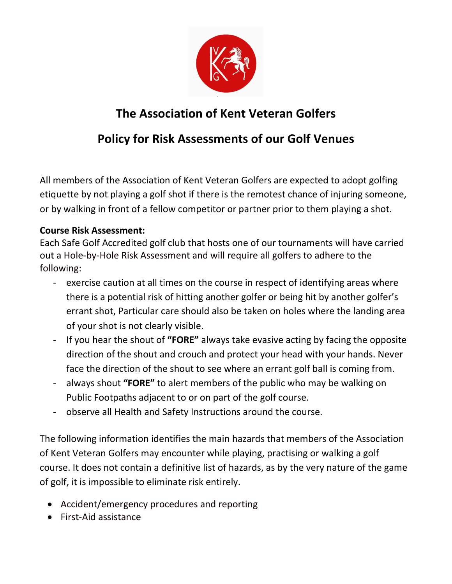

## **The Association of Kent Veteran Golfers**

## **Policy for Risk Assessments of our Golf Venues**

All members of the Association of Kent Veteran Golfers are expected to adopt golfing etiquette by not playing a golf shot if there is the remotest chance of injuring someone, or by walking in front of a fellow competitor or partner prior to them playing a shot.

## **Course Risk Assessment:**

Each Safe Golf Accredited golf club that hosts one of our tournaments will have carried out a Hole-by-Hole Risk Assessment and will require all golfers to adhere to the following:

- exercise caution at all times on the course in respect of identifying areas where there is a potential risk of hitting another golfer or being hit by another golfer's errant shot, Particular care should also be taken on holes where the landing area of your shot is not clearly visible.
- If you hear the shout of **"FORE"** always take evasive acting by facing the opposite direction of the shout and crouch and protect your head with your hands. Never face the direction of the shout to see where an errant golf ball is coming from.
- always shout **"FORE"** to alert members of the public who may be walking on Public Footpaths adjacent to or on part of the golf course.
- observe all Health and Safety Instructions around the course.

The following information identifies the main hazards that members of the Association of Kent Veteran Golfers may encounter while playing, practising or walking a golf course. It does not contain a definitive list of hazards, as by the very nature of the game of golf, it is impossible to eliminate risk entirely.

- Accident/emergency procedures and reporting
- First-Aid assistance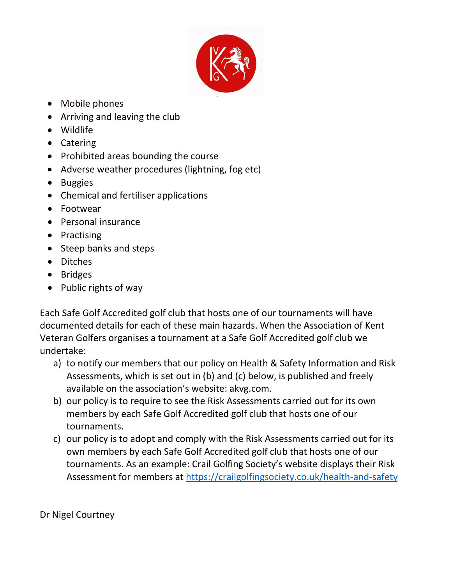

- Mobile phones
- Arriving and leaving the club
- Wildlife
- Catering
- Prohibited areas bounding the course
- Adverse weather procedures (lightning, fog etc)
- Buggies
- Chemical and fertiliser applications
- Footwear
- Personal insurance
- Practising
- Steep banks and steps
- Ditches
- Bridges
- Public rights of way

Each Safe Golf Accredited golf club that hosts one of our tournaments will have documented details for each of these main hazards. When the Association of Kent Veteran Golfers organises a tournament at a Safe Golf Accredited golf club we undertake:

- a) to notify our members that our policy on Health & Safety Information and Risk Assessments, which is set out in (b) and (c) below, is published and freely available on the association's website: akvg.com.
- b) our policy is to require to see the Risk Assessments carried out for its own members by each Safe Golf Accredited golf club that hosts one of our tournaments.
- c) our policy is to adopt and comply with the Risk Assessments carried out for its own members by each Safe Golf Accredited golf club that hosts one of our tournaments. As an example: Crail Golfing Society's website displays their Risk Assessment for members at<https://crailgolfingsociety.co.uk/health-and-safety>

Dr Nigel Courtney